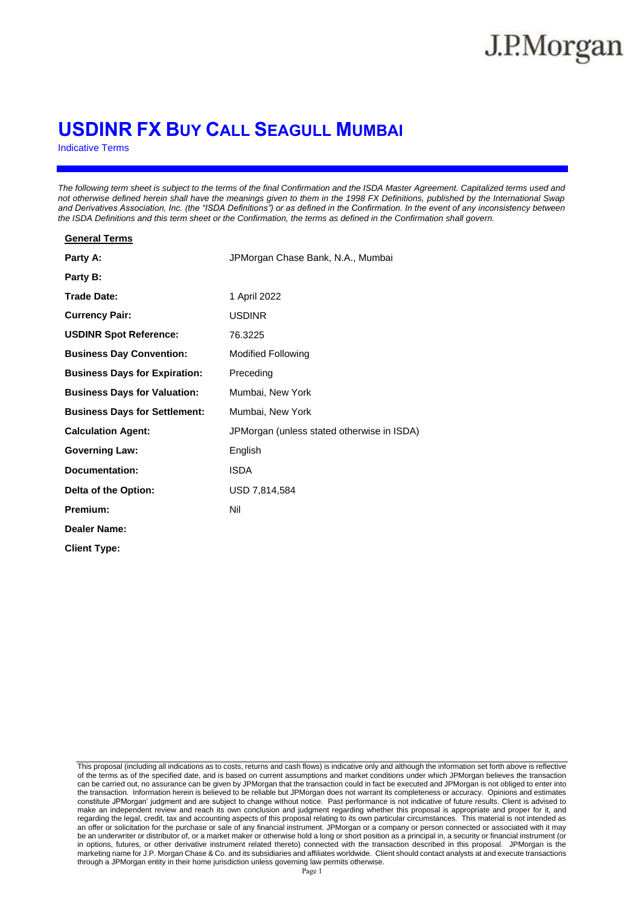# **USDINR FX BUY CALL SEAGULL MUMBAI**

Indicative Terms

**General Terms**

*The following term sheet is subject to the terms of the final Confirmation and the ISDA Master Agreement. Capitalized terms used and not otherwise defined herein shall have the meanings given to them in the 1998 FX Definitions, published by the International Swap and Derivatives Association, Inc. (the "ISDA Definitions") or as defined in the Confirmation. In the event of any inconsistency between the ISDA Definitions and this term sheet or the Confirmation, the terms as defined in the Confirmation shall govern.*

| סטווסו מו וסוווס                     |                                            |
|--------------------------------------|--------------------------------------------|
| Party A:                             | JPMorgan Chase Bank, N.A., Mumbai          |
| Party B:                             |                                            |
| <b>Trade Date:</b>                   | 1 April 2022                               |
| <b>Currency Pair:</b>                | <b>USDINR</b>                              |
| <b>USDINR Spot Reference:</b>        | 76.3225                                    |
| <b>Business Day Convention:</b>      | <b>Modified Following</b>                  |
| <b>Business Days for Expiration:</b> | Preceding                                  |
| <b>Business Days for Valuation:</b>  | Mumbai, New York                           |
| <b>Business Days for Settlement:</b> | Mumbai, New York                           |
| <b>Calculation Agent:</b>            | JPMorgan (unless stated otherwise in ISDA) |
| <b>Governing Law:</b>                | English                                    |
| <b>Documentation:</b>                | <b>ISDA</b>                                |
| Delta of the Option:                 | USD 7,814,584                              |
| Premium:                             | Nil                                        |
| Dealer Name:                         |                                            |
| <b>Client Type:</b>                  |                                            |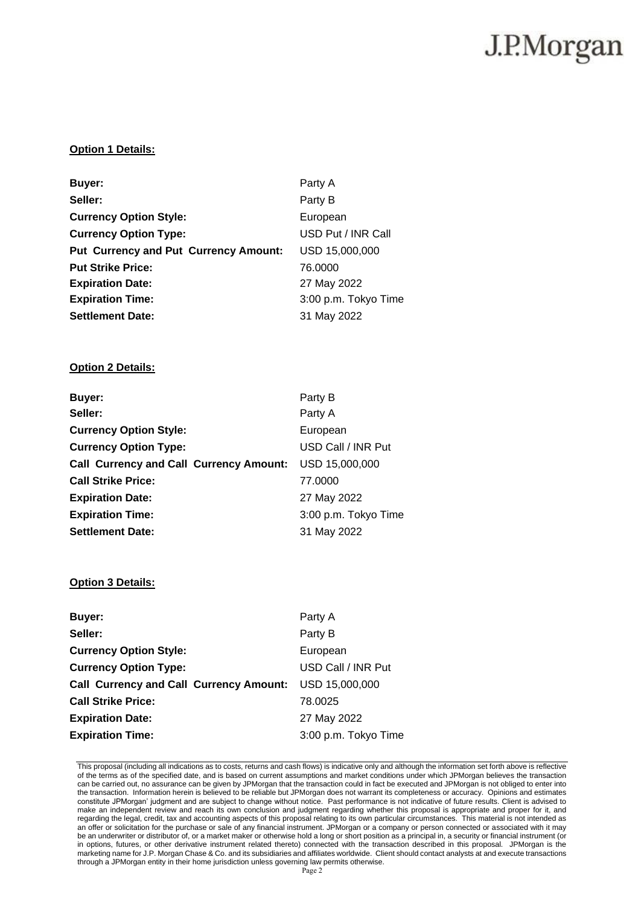### **Option 1 Details:**

| Buyer:                                       | Party A              |
|----------------------------------------------|----------------------|
| Seller:                                      | Party B              |
| <b>Currency Option Style:</b>                | European             |
| <b>Currency Option Type:</b>                 | USD Put / INR Call   |
| <b>Put Currency and Put Currency Amount:</b> | USD 15,000,000       |
| <b>Put Strike Price:</b>                     | 76,0000              |
| <b>Expiration Date:</b>                      | 27 May 2022          |
| <b>Expiration Time:</b>                      | 3:00 p.m. Tokyo Time |
| <b>Settlement Date:</b>                      | 31 May 2022          |

## **Option 2 Details:**

| Buyer:                                         | Party B              |
|------------------------------------------------|----------------------|
| Seller:                                        | Party A              |
| <b>Currency Option Style:</b>                  | European             |
| <b>Currency Option Type:</b>                   | USD Call / INR Put   |
| <b>Call Currency and Call Currency Amount:</b> | USD 15,000,000       |
| <b>Call Strike Price:</b>                      | 77.0000              |
| <b>Expiration Date:</b>                        | 27 May 2022          |
| <b>Expiration Time:</b>                        | 3:00 p.m. Tokyo Time |
| <b>Settlement Date:</b>                        | 31 May 2022          |

### **Option 3 Details:**

| Buyer:                                                 | Party A              |
|--------------------------------------------------------|----------------------|
| Seller:                                                | Party B              |
| <b>Currency Option Style:</b>                          | European             |
| <b>Currency Option Type:</b>                           | USD Call / INR Put   |
| Call Currency and Call Currency Amount: USD 15,000,000 |                      |
| <b>Call Strike Price:</b>                              | 78.0025              |
| <b>Expiration Date:</b>                                | 27 May 2022          |
| <b>Expiration Time:</b>                                | 3:00 p.m. Tokyo Time |
|                                                        |                      |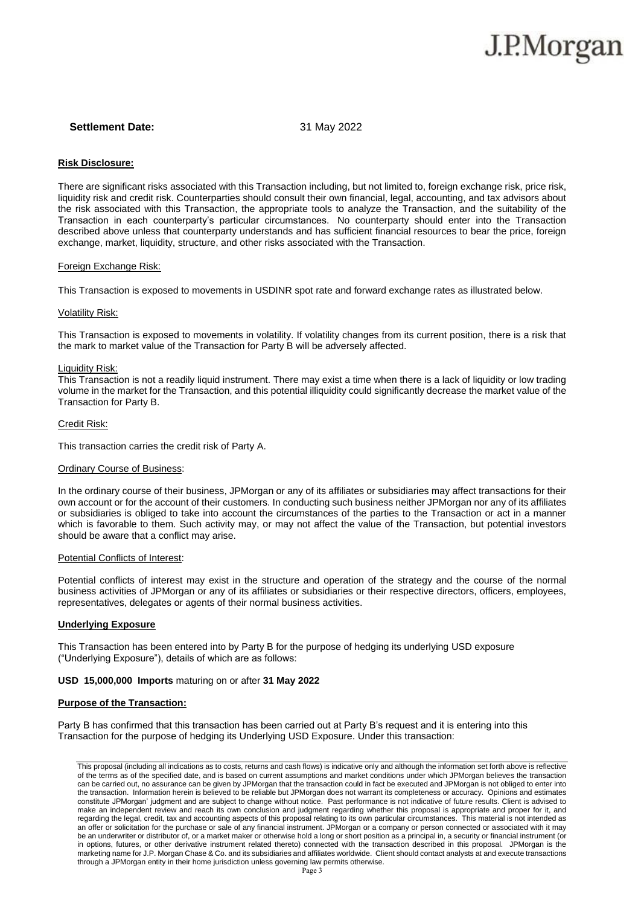#### **Settlement Date:** 31 May 2022

#### **Risk Disclosure:**

There are significant risks associated with this Transaction including, but not limited to, foreign exchange risk, price risk, liquidity risk and credit risk. Counterparties should consult their own financial, legal, accounting, and tax advisors about the risk associated with this Transaction, the appropriate tools to analyze the Transaction, and the suitability of the Transaction in each counterparty's particular circumstances. No counterparty should enter into the Transaction described above unless that counterparty understands and has sufficient financial resources to bear the price, foreign exchange, market, liquidity, structure, and other risks associated with the Transaction.

#### Foreign Exchange Risk:

This Transaction is exposed to movements in USDINR spot rate and forward exchange rates as illustrated below.

#### Volatility Risk:

This Transaction is exposed to movements in volatility. If volatility changes from its current position, there is a risk that the mark to market value of the Transaction for Party B will be adversely affected.

#### Liquidity Risk:

This Transaction is not a readily liquid instrument. There may exist a time when there is a lack of liquidity or low trading volume in the market for the Transaction, and this potential illiquidity could significantly decrease the market value of the Transaction for Party B.

#### Credit Risk:

This transaction carries the credit risk of Party A.

#### Ordinary Course of Business:

In the ordinary course of their business, JPMorgan or any of its affiliates or subsidiaries may affect transactions for their own account or for the account of their customers. In conducting such business neither JPMorgan nor any of its affiliates or subsidiaries is obliged to take into account the circumstances of the parties to the Transaction or act in a manner which is favorable to them. Such activity may, or may not affect the value of the Transaction, but potential investors should be aware that a conflict may arise.

#### **Potential Conflicts of Interest:**

Potential conflicts of interest may exist in the structure and operation of the strategy and the course of the normal business activities of JPMorgan or any of its affiliates or subsidiaries or their respective directors, officers, employees, representatives, delegates or agents of their normal business activities.

#### **Underlying Exposure**

This Transaction has been entered into by Party B for the purpose of hedging its underlying USD exposure ("Underlying Exposure"), details of which are as follows:

#### **USD 15,000,000 Imports** maturing on or after **31 May 2022**

#### **Purpose of the Transaction:**

Party B has confirmed that this transaction has been carried out at Party B's request and it is entering into this Transaction for the purpose of hedging its Underlying USD Exposure. Under this transaction:

This proposal (including all indications as to costs, returns and cash flows) is indicative only and although the information set forth above is reflective of the terms as of the specified date, and is based on current assumptions and market conditions under which JPMorgan believes the transaction can be carried out, no assurance can be given by JPMorgan that the transaction could in fact be executed and JPMorgan is not obliged to enter into the transaction. Information herein is believed to be reliable but JPMorgan does not warrant its completeness or accuracy. Opinions and estimates constitute JPMorgan' judgment and are subject to change without notice. Past performance is not indicative of future results. Client is advised to make an independent review and reach its own conclusion and judgment regarding whether this proposal is appropriate and proper for it, and regarding the legal, credit, tax and accounting aspects of this proposal relating to its own particular circumstances. This material is not intended as an offer or solicitation for the purchase or sale of any financial instrument. JPMorgan or a company or person connected or associated with it may be an underwriter or distributor of, or a market maker or otherwise hold a long or short position as a principal in, a security or financial instrument (or in options, futures, or other derivative instrument related thereto) connected with the transaction described in this proposal. JPMorgan is the marketing name for J.P. Morgan Chase & Co. and its subsidiaries and affiliates worldwide. Client should contact analysts at and execute transactions through a JPMorgan entity in their home jurisdiction unless governing law permits otherwise.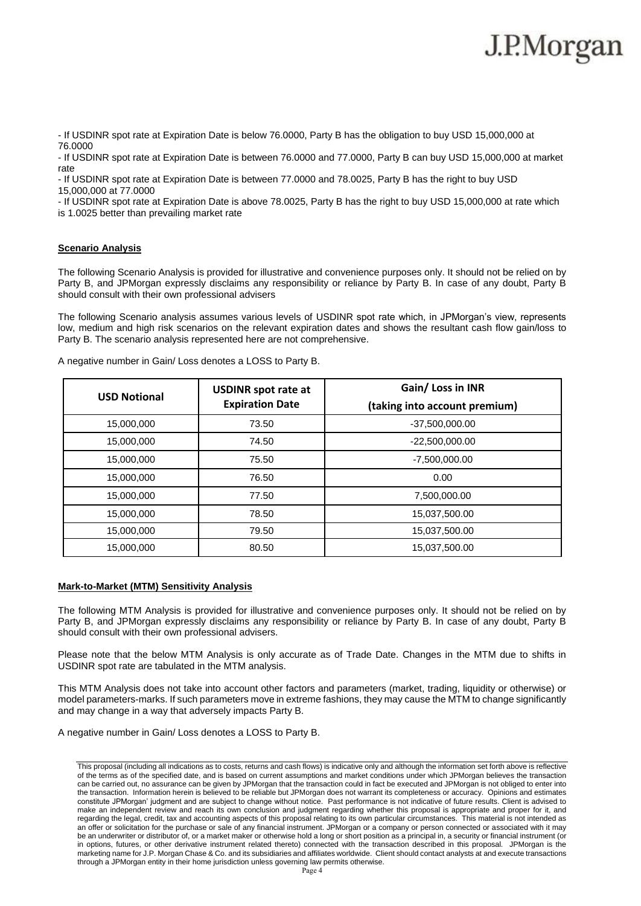- If USDINR spot rate at Expiration Date is below 76.0000, Party B has the obligation to buy USD 15,000,000 at 76.0000

- If USDINR spot rate at Expiration Date is between 76.0000 and 77.0000, Party B can buy USD 15,000,000 at market rate

- If USDINR spot rate at Expiration Date is between 77.0000 and 78.0025, Party B has the right to buy USD 15,000,000 at 77.0000

- If USDINR spot rate at Expiration Date is above 78.0025, Party B has the right to buy USD 15,000,000 at rate which is 1.0025 better than prevailing market rate

### **Scenario Analysis**

The following Scenario Analysis is provided for illustrative and convenience purposes only. It should not be relied on by Party B, and JPMorgan expressly disclaims any responsibility or reliance by Party B. In case of any doubt, Party B should consult with their own professional advisers

The following Scenario analysis assumes various levels of USDINR spot rate which, in JPMorgan's view, represents low, medium and high risk scenarios on the relevant expiration dates and shows the resultant cash flow gain/loss to Party B. The scenario analysis represented here are not comprehensive.

| <b>USD Notional</b> | <b>USDINR spot rate at</b><br><b>Expiration Date</b> | Gain/ Loss in INR<br>(taking into account premium) |
|---------------------|------------------------------------------------------|----------------------------------------------------|
| 15,000,000          | 73.50                                                | $-37,500,000.00$                                   |
| 15,000,000          | 74.50                                                | $-22,500,000.00$                                   |
| 15,000,000          | 75.50                                                | $-7,500,000.00$                                    |
| 15,000,000          | 76.50                                                | 0.00                                               |
| 15,000,000          | 77.50                                                | 7,500,000.00                                       |
| 15,000,000          | 78.50                                                | 15,037,500.00                                      |
| 15,000,000          | 79.50                                                | 15,037,500.00                                      |
| 15,000,000          | 80.50                                                | 15,037,500.00                                      |

A negative number in Gain/ Loss denotes a LOSS to Party B.

### **Mark-to-Market (MTM) Sensitivity Analysis**

The following MTM Analysis is provided for illustrative and convenience purposes only. It should not be relied on by Party B, and JPMorgan expressly disclaims any responsibility or reliance by Party B. In case of any doubt, Party B should consult with their own professional advisers.

Please note that the below MTM Analysis is only accurate as of Trade Date. Changes in the MTM due to shifts in USDINR spot rate are tabulated in the MTM analysis.

This MTM Analysis does not take into account other factors and parameters (market, trading, liquidity or otherwise) or model parameters-marks. If such parameters move in extreme fashions, they may cause the MTM to change significantly and may change in a way that adversely impacts Party B.

A negative number in Gain/ Loss denotes a LOSS to Party B.

This proposal (including all indications as to costs, returns and cash flows) is indicative only and although the information set forth above is reflective of the terms as of the specified date, and is based on current assumptions and market conditions under which JPMorgan believes the transaction can be carried out, no assurance can be given by JPMorgan that the transaction could in fact be executed and JPMorgan is not obliged to enter into the transaction. Information herein is believed to be reliable but JPMorgan does not warrant its completeness or accuracy. Opinions and estimates constitute JPMorgan' judgment and are subject to change without notice. Past performance is not indicative of future results. Client is advised to make an independent review and reach its own conclusion and judgment regarding whether this proposal is appropriate and proper for it, and regarding the legal, credit, tax and accounting aspects of this proposal relating to its own particular circumstances. This material is not intended as an offer or solicitation for the purchase or sale of any financial instrument. JPMorgan or a company or person connected or associated with it may be an underwriter or distributor of, or a market maker or otherwise hold a long or short position as a principal in, a security or financial instrument (or in options, futures, or other derivative instrument related thereto) connected with the transaction described in this proposal. JPMorgan is the marketing name for J.P. Morgan Chase & Co. and its subsidiaries and affiliates worldwide. Client should contact analysts at and execute transactions through a JPMorgan entity in their home jurisdiction unless governing law permits otherwise.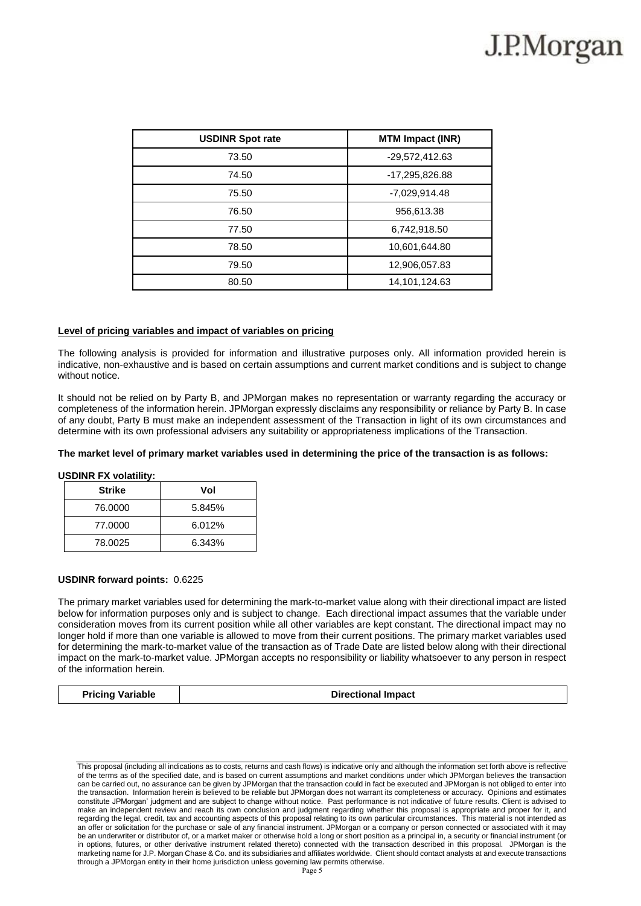| <b>USDINR Spot rate</b> | <b>MTM Impact (INR)</b> |
|-------------------------|-------------------------|
| 73.50                   | -29,572,412.63          |
| 74.50                   | -17,295,826.88          |
| 75.50                   | -7,029,914.48           |
| 76.50                   | 956,613.38              |
| 77.50                   | 6,742,918.50            |
| 78.50                   | 10,601,644.80           |
| 79.50                   | 12,906,057.83           |
| 80.50                   | 14,101,124.63           |

#### **Level of pricing variables and impact of variables on pricing**

The following analysis is provided for information and illustrative purposes only. All information provided herein is indicative, non-exhaustive and is based on certain assumptions and current market conditions and is subject to change without notice.

It should not be relied on by Party B, and JPMorgan makes no representation or warranty regarding the accuracy or completeness of the information herein. JPMorgan expressly disclaims any responsibility or reliance by Party B. In case of any doubt, Party B must make an independent assessment of the Transaction in light of its own circumstances and determine with its own professional advisers any suitability or appropriateness implications of the Transaction.

### **The market level of primary market variables used in determining the price of the transaction is as follows:**

#### **USDINR FX volatility:**

| <b>Strike</b> | Vol    |
|---------------|--------|
| 76.0000       | 5.845% |
| 77.0000       | 6.012% |
| 78.0025       | 6.343% |

#### **USDINR forward points:** 0.6225

The primary market variables used for determining the mark-to-market value along with their directional impact are listed below for information purposes only and is subject to change. Each directional impact assumes that the variable under consideration moves from its current position while all other variables are kept constant. The directional impact may no longer hold if more than one variable is allowed to move from their current positions. The primary market variables used for determining the mark-to-market value of the transaction as of Trade Date are listed below along with their directional impact on the mark-to-market value. JPMorgan accepts no responsibility or liability whatsoever to any person in respect of the information herein.

| <b>Pricing Variable</b> | <b>Directional Impact</b> |
|-------------------------|---------------------------|
|-------------------------|---------------------------|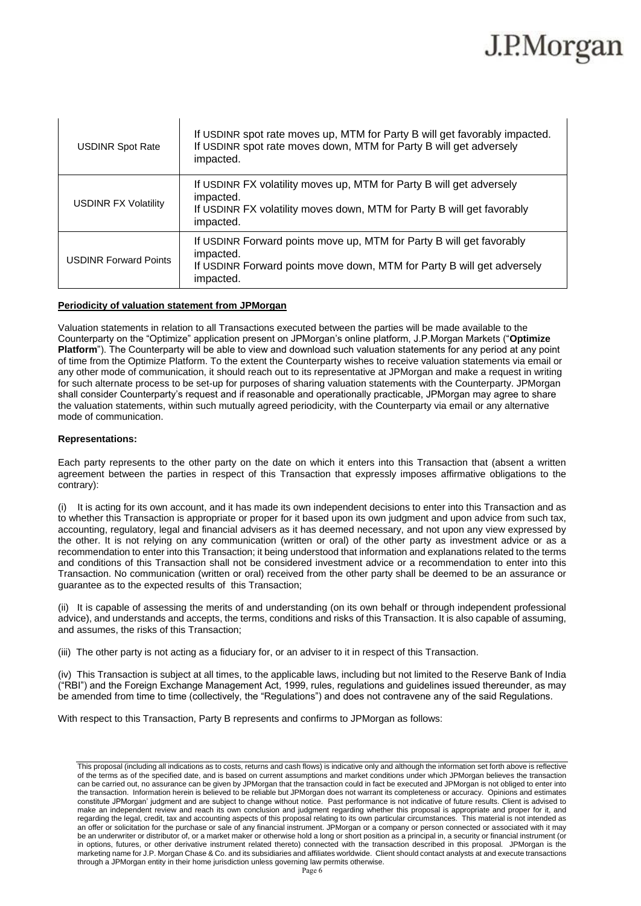| <b>USDINR Spot Rate</b>      | If USDINR spot rate moves up, MTM for Party B will get favorably impacted.<br>If USDINR spot rate moves down, MTM for Party B will get adversely<br>impacted.            |
|------------------------------|--------------------------------------------------------------------------------------------------------------------------------------------------------------------------|
| <b>USDINR FX Volatility</b>  | If USDINR FX volatility moves up, MTM for Party B will get adversely<br>impacted.<br>If USDINR FX volatility moves down, MTM for Party B will get favorably<br>impacted. |
| <b>USDINR Forward Points</b> | If USDINR Forward points move up, MTM for Party B will get favorably<br>impacted.<br>If USDINR Forward points move down, MTM for Party B will get adversely<br>impacted. |

### **Periodicity of valuation statement from JPMorgan**

Valuation statements in relation to all Transactions executed between the parties will be made available to the Counterparty on the "Optimize" application present on JPMorgan's online platform, J.P.Morgan Markets ("**Optimize Platform**"). The Counterparty will be able to view and download such valuation statements for any period at any point of time from the Optimize Platform. To the extent the Counterparty wishes to receive valuation statements via email or any other mode of communication, it should reach out to its representative at JPMorgan and make a request in writing for such alternate process to be set-up for purposes of sharing valuation statements with the Counterparty. JPMorgan shall consider Counterparty's request and if reasonable and operationally practicable, JPMorgan may agree to share the valuation statements, within such mutually agreed periodicity, with the Counterparty via email or any alternative mode of communication.

### **Representations:**

Each party represents to the other party on the date on which it enters into this Transaction that (absent a written agreement between the parties in respect of this Transaction that expressly imposes affirmative obligations to the contrary):

(i) It is acting for its own account, and it has made its own independent decisions to enter into this Transaction and as to whether this Transaction is appropriate or proper for it based upon its own judgment and upon advice from such tax, accounting, regulatory, legal and financial advisers as it has deemed necessary, and not upon any view expressed by the other. It is not relying on any communication (written or oral) of the other party as investment advice or as a recommendation to enter into this Transaction; it being understood that information and explanations related to the terms and conditions of this Transaction shall not be considered investment advice or a recommendation to enter into this Transaction. No communication (written or oral) received from the other party shall be deemed to be an assurance or guarantee as to the expected results of this Transaction;

(ii) It is capable of assessing the merits of and understanding (on its own behalf or through independent professional advice), and understands and accepts, the terms, conditions and risks of this Transaction. It is also capable of assuming, and assumes, the risks of this Transaction;

(iii) The other party is not acting as a fiduciary for, or an adviser to it in respect of this Transaction.

(iv) This Transaction is subject at all times, to the applicable laws, including but not limited to the Reserve Bank of India ("RBI") and the Foreign Exchange Management Act, 1999, rules, regulations and guidelines issued thereunder, as may be amended from time to time (collectively, the "Regulations") and does not contravene any of the said Regulations.

With respect to this Transaction, Party B represents and confirms to JPMorgan as follows:

This proposal (including all indications as to costs, returns and cash flows) is indicative only and although the information set forth above is reflective of the terms as of the specified date, and is based on current assumptions and market conditions under which JPMorgan believes the transaction can be carried out, no assurance can be given by JPMorgan that the transaction could in fact be executed and JPMorgan is not obliged to enter into the transaction. Information herein is believed to be reliable but JPMorgan does not warrant its completeness or accuracy. Opinions and estimates constitute JPMorgan' judgment and are subject to change without notice. Past performance is not indicative of future results. Client is advised to make an independent review and reach its own conclusion and judgment regarding whether this proposal is appropriate and proper for it, and regarding the legal, credit, tax and accounting aspects of this proposal relating to its own particular circumstances. This material is not intended as an offer or solicitation for the purchase or sale of any financial instrument. JPMorgan or a company or person connected or associated with it may be an underwriter or distributor of, or a market maker or otherwise hold a long or short position as a principal in, a security or financial instrument (or in options, futures, or other derivative instrument related thereto) connected with the transaction described in this proposal. JPMorgan is the marketing name for J.P. Morgan Chase & Co. and its subsidiaries and affiliates worldwide. Client should contact analysts at and execute transactions through a JPMorgan entity in their home jurisdiction unless governing law permits otherwise.